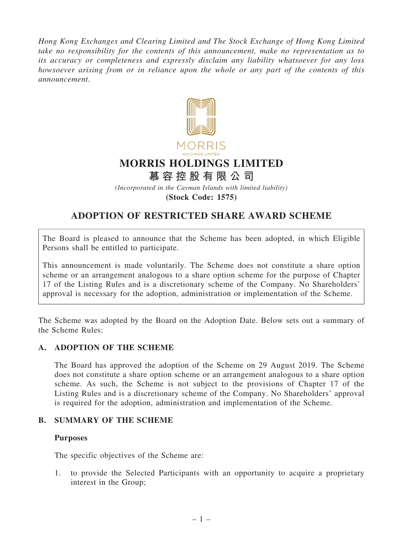Hong Kong Exchanges and Clearing Limited and The Stock Exchange of Hong Kong Limited take no responsibility for the contents of this announcement, make no representation as to its accuracy or completeness and expressly disclaim any liability whatsoever for any loss howsoever arising from or in reliance upon the whole or any part of the contents of this announcement.



(Incorporated in the Cayman Islands with limited liability)

(Stock Code: 1575)

# ADOPTION OF RESTRICTED SHARE AWARD SCHEME

The Board is pleased to announce that the Scheme has been adopted, in which Eligible Persons shall be entitled to participate.

This announcement is made voluntarily. The Scheme does not constitute a share option scheme or an arrangement analogous to a share option scheme for the purpose of Chapter 17 of the Listing Rules and is a discretionary scheme of the Company. No Shareholders' approval is necessary for the adoption, administration or implementation of the Scheme.

The Scheme was adopted by the Board on the Adoption Date. Below sets out a summary of the Scheme Rules:

# A. ADOPTION OF THE SCHEME

The Board has approved the adoption of the Scheme on 29 August 2019. The Scheme does not constitute a share option scheme or an arrangement analogous to a share option scheme. As such, the Scheme is not subject to the provisions of Chapter 17 of the Listing Rules and is a discretionary scheme of the Company. No Shareholders' approval is required for the adoption, administration and implementation of the Scheme.

# B. SUMMARY OF THE SCHEME

# Purposes

The specific objectives of the Scheme are:

1. to provide the Selected Participants with an opportunity to acquire a proprietary interest in the Group;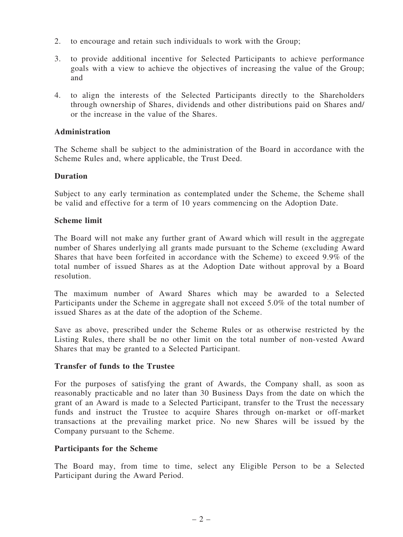- 2. to encourage and retain such individuals to work with the Group;
- 3. to provide additional incentive for Selected Participants to achieve performance goals with a view to achieve the objectives of increasing the value of the Group; and
- 4. to align the interests of the Selected Participants directly to the Shareholders through ownership of Shares, dividends and other distributions paid on Shares and/ or the increase in the value of the Shares.

## Administration

The Scheme shall be subject to the administration of the Board in accordance with the Scheme Rules and, where applicable, the Trust Deed.

#### Duration

Subject to any early termination as contemplated under the Scheme, the Scheme shall be valid and effective for a term of 10 years commencing on the Adoption Date.

#### Scheme limit

The Board will not make any further grant of Award which will result in the aggregate number of Shares underlying all grants made pursuant to the Scheme (excluding Award Shares that have been forfeited in accordance with the Scheme) to exceed 9.9% of the total number of issued Shares as at the Adoption Date without approval by a Board resolution.

The maximum number of Award Shares which may be awarded to a Selected Participants under the Scheme in aggregate shall not exceed 5.0% of the total number of issued Shares as at the date of the adoption of the Scheme.

Save as above, prescribed under the Scheme Rules or as otherwise restricted by the Listing Rules, there shall be no other limit on the total number of non-vested Award Shares that may be granted to a Selected Participant.

#### Transfer of funds to the Trustee

For the purposes of satisfying the grant of Awards, the Company shall, as soon as reasonably practicable and no later than 30 Business Days from the date on which the grant of an Award is made to a Selected Participant, transfer to the Trust the necessary funds and instruct the Trustee to acquire Shares through on-market or off-market transactions at the prevailing market price. No new Shares will be issued by the Company pursuant to the Scheme.

#### Participants for the Scheme

The Board may, from time to time, select any Eligible Person to be a Selected Participant during the Award Period.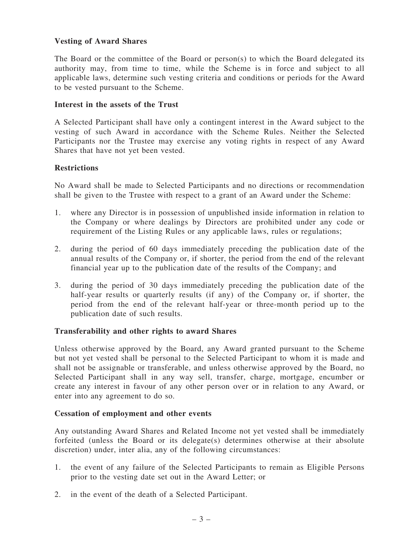# Vesting of Award Shares

The Board or the committee of the Board or person(s) to which the Board delegated its authority may, from time to time, while the Scheme is in force and subject to all applicable laws, determine such vesting criteria and conditions or periods for the Award to be vested pursuant to the Scheme.

# Interest in the assets of the Trust

A Selected Participant shall have only a contingent interest in the Award subject to the vesting of such Award in accordance with the Scheme Rules. Neither the Selected Participants nor the Trustee may exercise any voting rights in respect of any Award Shares that have not yet been vested.

# **Restrictions**

No Award shall be made to Selected Participants and no directions or recommendation shall be given to the Trustee with respect to a grant of an Award under the Scheme:

- 1. where any Director is in possession of unpublished inside information in relation to the Company or where dealings by Directors are prohibited under any code or requirement of the Listing Rules or any applicable laws, rules or regulations;
- 2. during the period of 60 days immediately preceding the publication date of the annual results of the Company or, if shorter, the period from the end of the relevant financial year up to the publication date of the results of the Company; and
- 3. during the period of 30 days immediately preceding the publication date of the half-year results or quarterly results (if any) of the Company or, if shorter, the period from the end of the relevant half-year or three-month period up to the publication date of such results.

# Transferability and other rights to award Shares

Unless otherwise approved by the Board, any Award granted pursuant to the Scheme but not yet vested shall be personal to the Selected Participant to whom it is made and shall not be assignable or transferable, and unless otherwise approved by the Board, no Selected Participant shall in any way sell, transfer, charge, mortgage, encumber or create any interest in favour of any other person over or in relation to any Award, or enter into any agreement to do so.

# Cessation of employment and other events

Any outstanding Award Shares and Related Income not yet vested shall be immediately forfeited (unless the Board or its delegate(s) determines otherwise at their absolute discretion) under, inter alia, any of the following circumstances:

- 1. the event of any failure of the Selected Participants to remain as Eligible Persons prior to the vesting date set out in the Award Letter; or
- 2. in the event of the death of a Selected Participant.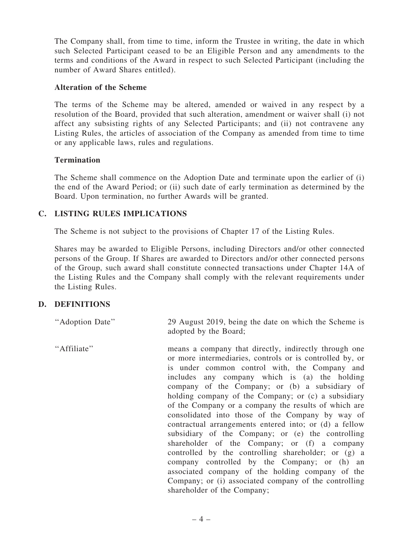The Company shall, from time to time, inform the Trustee in writing, the date in which such Selected Participant ceased to be an Eligible Person and any amendments to the terms and conditions of the Award in respect to such Selected Participant (including the number of Award Shares entitled).

# Alteration of the Scheme

The terms of the Scheme may be altered, amended or waived in any respect by a resolution of the Board, provided that such alteration, amendment or waiver shall (i) not affect any subsisting rights of any Selected Participants; and (ii) not contravene any Listing Rules, the articles of association of the Company as amended from time to time or any applicable laws, rules and regulations.

# **Termination**

The Scheme shall commence on the Adoption Date and terminate upon the earlier of (i) the end of the Award Period; or (ii) such date of early termination as determined by the Board. Upon termination, no further Awards will be granted.

# C. LISTING RULES IMPLICATIONS

The Scheme is not subject to the provisions of Chapter 17 of the Listing Rules.

Shares may be awarded to Eligible Persons, including Directors and/or other connected persons of the Group. If Shares are awarded to Directors and/or other connected persons of the Group, such award shall constitute connected transactions under Chapter 14A of the Listing Rules and the Company shall comply with the relevant requirements under the Listing Rules.

# D. DEFINITIONS

| "Adoption Date" | 29 August 2019, being the date on which the Scheme is<br>adopted by the Board;                                                                                                                                                                                                                                                                                                                                                                                                                                                                                                                                                                                                                                                                                                                                                                             |
|-----------------|------------------------------------------------------------------------------------------------------------------------------------------------------------------------------------------------------------------------------------------------------------------------------------------------------------------------------------------------------------------------------------------------------------------------------------------------------------------------------------------------------------------------------------------------------------------------------------------------------------------------------------------------------------------------------------------------------------------------------------------------------------------------------------------------------------------------------------------------------------|
| "Affiliate"     | means a company that directly, indirectly through one<br>or more intermediaries, controls or is controlled by, or<br>is under common control with, the Company and<br>includes any company which is (a) the holding<br>company of the Company; or (b) a subsidiary of<br>holding company of the Company; or (c) a subsidiary<br>of the Company or a company the results of which are<br>consolidated into those of the Company by way of<br>contractual arrangements entered into; or (d) a fellow<br>subsidiary of the Company; or (e) the controlling<br>shareholder of the Company; or (f) a company<br>controlled by the controlling shareholder; or (g) a<br>company controlled by the Company; or (h) an<br>associated company of the holding company of the<br>Company; or (i) associated company of the controlling<br>shareholder of the Company; |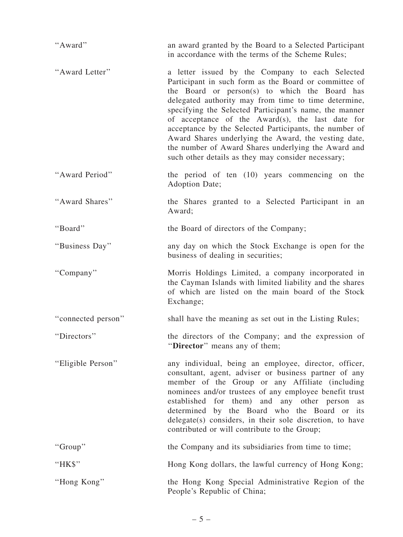| "Award"            | an award granted by the Board to a Selected Participant<br>in accordance with the terms of the Scheme Rules;                                                                                                                                                                                                                                                                                                                                                                                                                                                   |
|--------------------|----------------------------------------------------------------------------------------------------------------------------------------------------------------------------------------------------------------------------------------------------------------------------------------------------------------------------------------------------------------------------------------------------------------------------------------------------------------------------------------------------------------------------------------------------------------|
| "Award Letter"     | a letter issued by the Company to each Selected<br>Participant in such form as the Board or committee of<br>the Board or person(s) to which the Board has<br>delegated authority may from time to time determine,<br>specifying the Selected Participant's name, the manner<br>of acceptance of the Award(s), the last date for<br>acceptance by the Selected Participants, the number of<br>Award Shares underlying the Award, the vesting date,<br>the number of Award Shares underlying the Award and<br>such other details as they may consider necessary; |
| "Award Period"     | the period of ten (10) years commencing on the<br>Adoption Date;                                                                                                                                                                                                                                                                                                                                                                                                                                                                                               |
| "Award Shares"     | the Shares granted to a Selected Participant in an<br>Award;                                                                                                                                                                                                                                                                                                                                                                                                                                                                                                   |
| "Board"            | the Board of directors of the Company;                                                                                                                                                                                                                                                                                                                                                                                                                                                                                                                         |
| "Business Day"     | any day on which the Stock Exchange is open for the<br>business of dealing in securities;                                                                                                                                                                                                                                                                                                                                                                                                                                                                      |
| "Company"          | Morris Holdings Limited, a company incorporated in<br>the Cayman Islands with limited liability and the shares<br>of which are listed on the main board of the Stock<br>Exchange;                                                                                                                                                                                                                                                                                                                                                                              |
| "connected person" | shall have the meaning as set out in the Listing Rules;                                                                                                                                                                                                                                                                                                                                                                                                                                                                                                        |
| "Directors"        | the directors of the Company; and the expression of<br>"Director" means any of them;                                                                                                                                                                                                                                                                                                                                                                                                                                                                           |
| "Eligible Person"  | any individual, being an employee, director, officer,<br>consultant, agent, adviser or business partner of any<br>member of the Group or any Affiliate (including<br>nominees and/or trustees of any employee benefit trust<br>established for them) and any other person as<br>determined by the Board who the Board or its<br>delegate(s) considers, in their sole discretion, to have<br>contributed or will contribute to the Group;                                                                                                                       |
| "Group"            | the Company and its subsidiaries from time to time;                                                                                                                                                                                                                                                                                                                                                                                                                                                                                                            |
| "HK\$"             | Hong Kong dollars, the lawful currency of Hong Kong;                                                                                                                                                                                                                                                                                                                                                                                                                                                                                                           |
| "Hong Kong"        | the Hong Kong Special Administrative Region of the<br>People's Republic of China;                                                                                                                                                                                                                                                                                                                                                                                                                                                                              |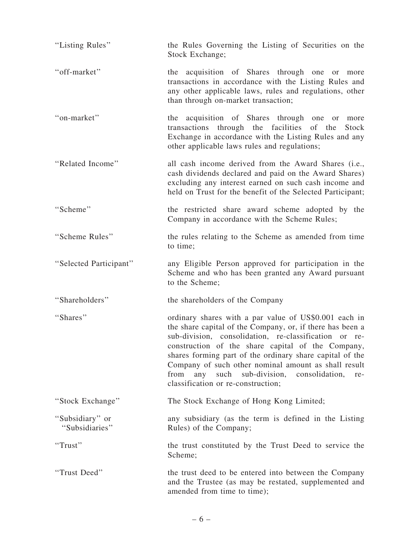| "Listing Rules"                   | the Rules Governing the Listing of Securities on the<br>Stock Exchange;                                                                                                                                                                                                                                                                                                                                                                                     |
|-----------------------------------|-------------------------------------------------------------------------------------------------------------------------------------------------------------------------------------------------------------------------------------------------------------------------------------------------------------------------------------------------------------------------------------------------------------------------------------------------------------|
| "off-market"                      | the acquisition of Shares through one or more<br>transactions in accordance with the Listing Rules and<br>any other applicable laws, rules and regulations, other<br>than through on-market transaction;                                                                                                                                                                                                                                                    |
| "on-market"                       | the acquisition of Shares through one<br>more<br>or<br>transactions through the facilities<br>of the<br>Stock<br>Exchange in accordance with the Listing Rules and any<br>other applicable laws rules and regulations;                                                                                                                                                                                                                                      |
| "Related Income"                  | all cash income derived from the Award Shares (i.e.,<br>cash dividends declared and paid on the Award Shares)<br>excluding any interest earned on such cash income and<br>held on Trust for the benefit of the Selected Participant;                                                                                                                                                                                                                        |
| "Scheme"                          | the restricted share award scheme adopted by the<br>Company in accordance with the Scheme Rules;                                                                                                                                                                                                                                                                                                                                                            |
| "Scheme Rules"                    | the rules relating to the Scheme as amended from time<br>to time;                                                                                                                                                                                                                                                                                                                                                                                           |
| "Selected Participant"            | any Eligible Person approved for participation in the<br>Scheme and who has been granted any Award pursuant<br>to the Scheme;                                                                                                                                                                                                                                                                                                                               |
| "Shareholders"                    | the shareholders of the Company                                                                                                                                                                                                                                                                                                                                                                                                                             |
| "Shares"                          | ordinary shares with a par value of US\$0.001 each in<br>the share capital of the Company, or, if there has been a<br>sub-division, consolidation, re-classification or re-<br>construction of the share capital of the Company,<br>shares forming part of the ordinary share capital of the<br>Company of such other nominal amount as shall result<br>sub-division,<br>from<br>such<br>consolidation,<br>any<br>re-<br>classification or re-construction; |
| "Stock Exchange"                  | The Stock Exchange of Hong Kong Limited;                                                                                                                                                                                                                                                                                                                                                                                                                    |
| "Subsidiary" or<br>"Subsidiaries" | any subsidiary (as the term is defined in the Listing<br>Rules) of the Company;                                                                                                                                                                                                                                                                                                                                                                             |
| "Trust"                           | the trust constituted by the Trust Deed to service the<br>Scheme;                                                                                                                                                                                                                                                                                                                                                                                           |
| "Trust Deed"                      | the trust deed to be entered into between the Company<br>and the Trustee (as may be restated, supplemented and<br>amended from time to time);                                                                                                                                                                                                                                                                                                               |